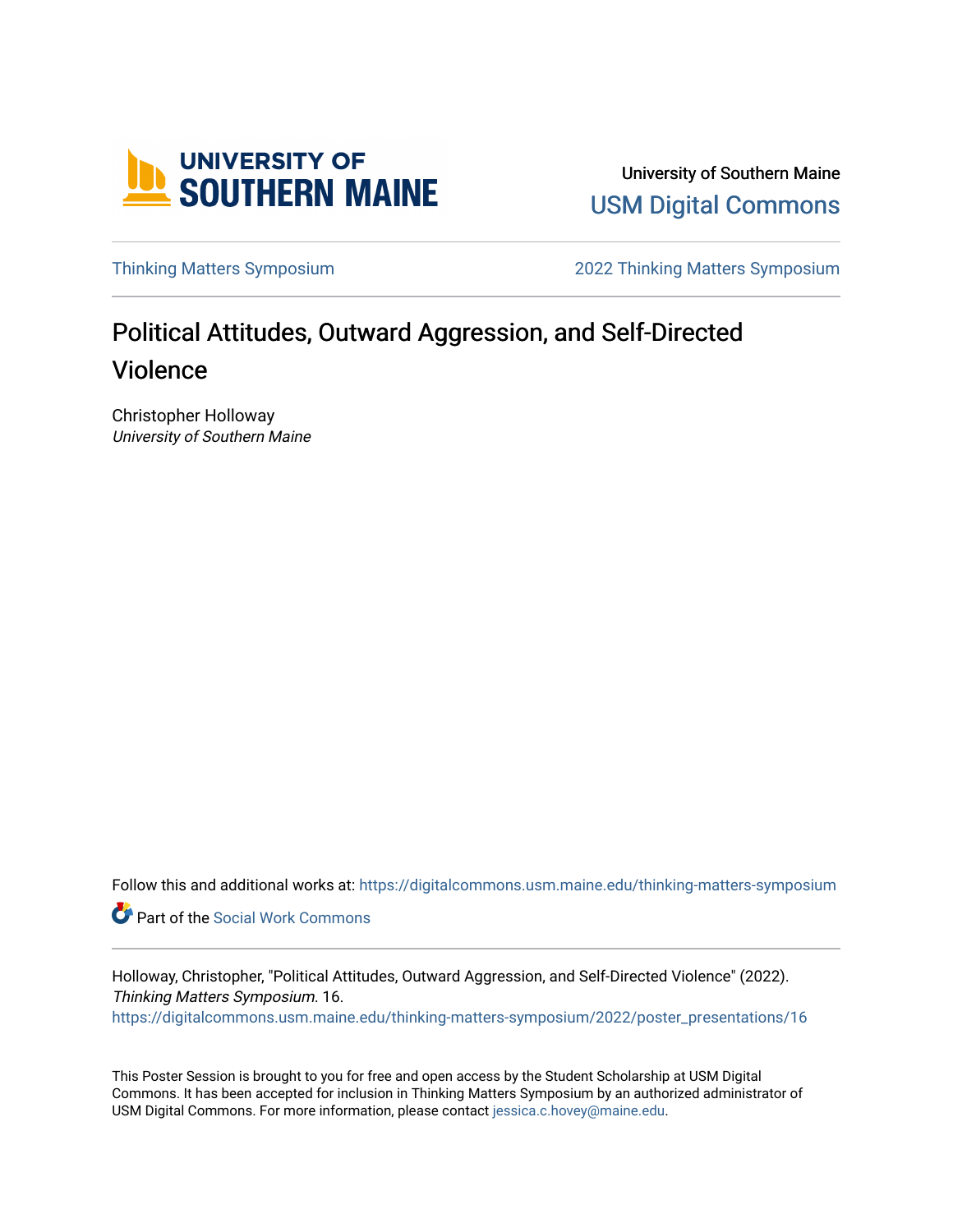

University of Southern Maine [USM Digital Commons](https://digitalcommons.usm.maine.edu/) 

[Thinking Matters Symposium](https://digitalcommons.usm.maine.edu/thinking-matters-symposium) [2022 Thinking Matters Symposium](https://digitalcommons.usm.maine.edu/thinking-matters-symposium/2022) 

#### Political Attitudes, Outward Aggression, and Self-Directed Violence

Christopher Holloway University of Southern Maine

Follow this and additional works at: [https://digitalcommons.usm.maine.edu/thinking-matters-symposium](https://digitalcommons.usm.maine.edu/thinking-matters-symposium?utm_source=digitalcommons.usm.maine.edu%2Fthinking-matters-symposium%2F2022%2Fposter_presentations%2F16&utm_medium=PDF&utm_campaign=PDFCoverPages) 

Part of the [Social Work Commons](http://network.bepress.com/hgg/discipline/713?utm_source=digitalcommons.usm.maine.edu%2Fthinking-matters-symposium%2F2022%2Fposter_presentations%2F16&utm_medium=PDF&utm_campaign=PDFCoverPages)

Holloway, Christopher, "Political Attitudes, Outward Aggression, and Self-Directed Violence" (2022). Thinking Matters Symposium. 16. [https://digitalcommons.usm.maine.edu/thinking-matters-symposium/2022/poster\\_presentations/16](https://digitalcommons.usm.maine.edu/thinking-matters-symposium/2022/poster_presentations/16?utm_source=digitalcommons.usm.maine.edu%2Fthinking-matters-symposium%2F2022%2Fposter_presentations%2F16&utm_medium=PDF&utm_campaign=PDFCoverPages) 

This Poster Session is brought to you for free and open access by the Student Scholarship at USM Digital Commons. It has been accepted for inclusion in Thinking Matters Symposium by an authorized administrator of USM Digital Commons. For more information, please contact [jessica.c.hovey@maine.edu](mailto:ian.fowler@maine.edu).